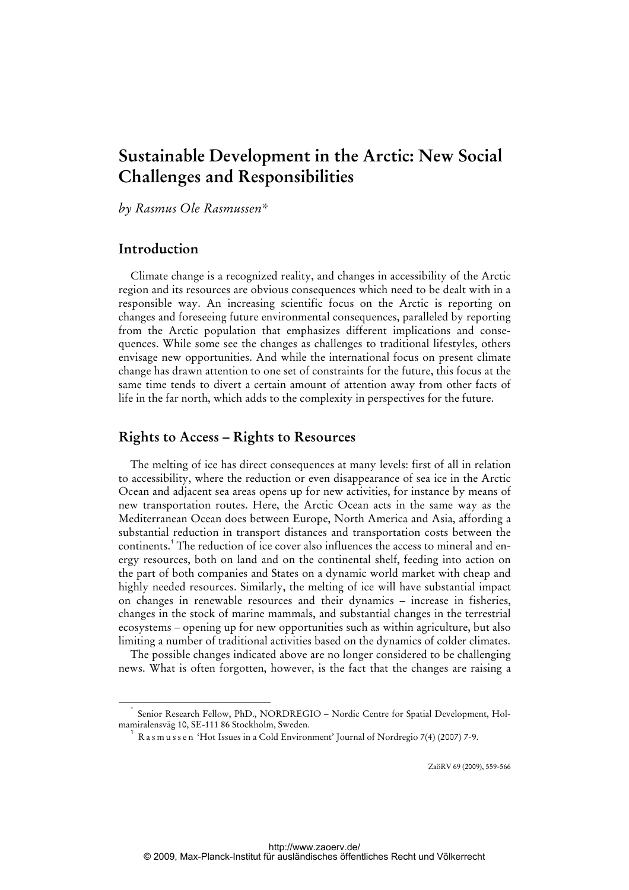# **Sustainable Development in the Arctic: New Social Challenges and Responsibilities**

*by Rasmus Ole Rasmussen\** 

# **Introduction**

Climate change is a recognized reality, and changes in accessibility of the Arctic region and its resources are obvious consequences which need to be dealt with in a responsible way. An increasing scientific focus on the Arctic is reporting on changes and foreseeing future environmental consequences, paralleled by reporting from the Arctic population that emphasizes different implications and consequences. While some see the changes as challenges to traditional lifestyles, others envisage new opportunities. And while the international focus on present climate change has drawn attention to one set of constraints for the future, this focus at the same time tends to divert a certain amount of attention away from other facts of life in the far north, which adds to the complexity in perspectives for the future.

# **Rights to Access – Rights to Resources**

The melting of ice has direct consequences at many levels: first of all in relation to accessibility, where the reduction or even disappearance of sea ice in the Arctic Ocean and adjacent sea areas opens up for new activities, for instance by means of new transportation routes. Here, the Arctic Ocean acts in the same way as the Mediterranean Ocean does between Europe, North America and Asia, affording a substantial reduction in transport distances and transportation costs between the continents.<sup>1</sup> The reduction of ice cover also influences the access to mineral and energy resources, both on land and on the continental shelf, feeding into action on the part of both companies and States on a dynamic world market with cheap and highly needed resources. Similarly, the melting of ice will have substantial impact on changes in renewable resources and their dynamics – increase in fisheries, changes in the stock of marine mammals, and substantial changes in the terrestrial ecosystems – opening up for new opportunities such as within agriculture, but also limiting a number of traditional activities based on the dynamics of colder climates.

The possible changes indicated above are no longer considered to be challenging news. What is often forgotten, however, is the fact that the changes are raising a

ZaöRV 69 (2009), 559-566

 <sup>\*</sup> Senior Research Fellow, PhD., NORDREGIO – Nordic Centre for Spatial Development, Holmamiralensväg 10, SE-111 86 Stockholm, Sweden.

<sup>1</sup> R a s m u s s e n 'Hot Issues in a Cold Environment' Journal of Nordregio 7(4) (2007) 7-9.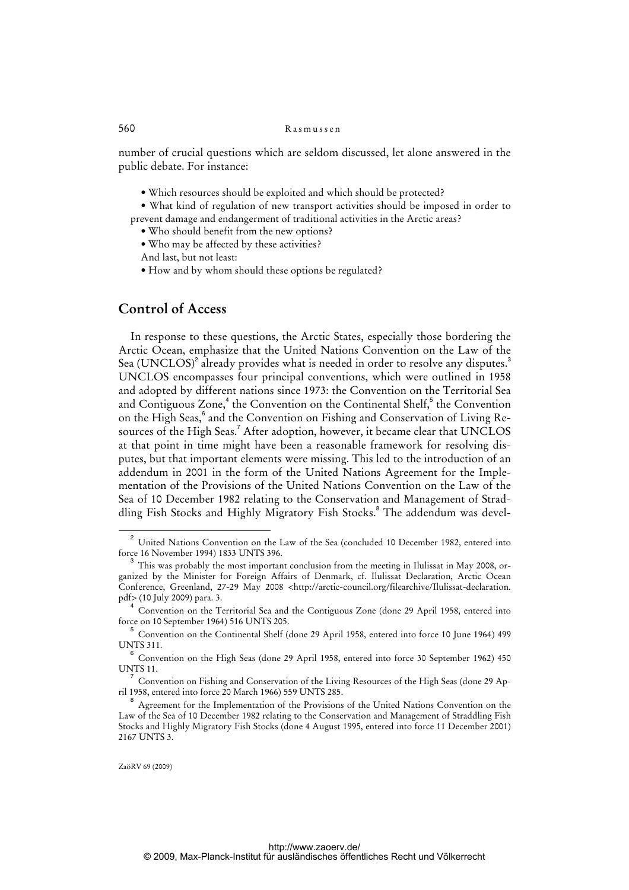number of crucial questions which are seldom discussed, let alone answered in the public debate. For instance:

• Which resources should be exploited and which should be protected?

• What kind of regulation of new transport activities should be imposed in order to prevent damage and endangerment of traditional activities in the Arctic areas?

- Who should benefit from the new options?
- Who may be affected by these activities?
- And last, but not least:
- How and by whom should these options be regulated?

# **Control of Access**

In response to these questions, the Arctic States, especially those bordering the Arctic Ocean, emphasize that the United Nations Convention on the Law of the Sea (UNCLOS) $^{\text{2}}$  already provides what is needed in order to resolve any disputes. $^{\text{3}}$ UNCLOS encompasses four principal conventions, which were outlined in 1958 and adopted by different nations since 1973: the Convention on the Territorial Sea and Contiguous Zone,<sup>4</sup> the Convention on the Continental Shelf,<sup>5</sup> the Convention on the High Seas,<sup>6</sup> and the Convention on Fishing and Conservation of Living Resources of the High Seas.<sup>7</sup> After adoption, however, it became clear that UNCLOS at that point in time might have been a reasonable framework for resolving disputes, but that important elements were missing. This led to the introduction of an addendum in 2001 in the form of the United Nations Agreement for the Implementation of the Provisions of the United Nations Convention on the Law of the Sea of 10 December 1982 relating to the Conservation and Management of Straddling Fish Stocks and Highly Migratory Fish Stocks.<sup>8</sup> The addendum was devel-

<sup>2</sup> United Nations Convention on the Law of the Sea (concluded 10 December 1982, entered into force 16 November 1994) 1833 UNTS 396.

<sup>3</sup> This was probably the most important conclusion from the meeting in Ilulissat in May 2008, organized by the Minister for Foreign Affairs of Denmark, cf. Ilulissat Declaration, Arctic Ocean Conference, Greenland, 27-29 May 2008 <[http://arctic-council.org/filearchive/Ilulissat-declaration.](http://arctic-council.org/filearchive/Ilulissat-declaration) pdf> (10 July 2009) para. 3.

<sup>4</sup> Convention on the Territorial Sea and the Contiguous Zone (done 29 April 1958, entered into force on 10 September 1964) 516 UNTS 205.

<sup>5</sup> Convention on the Continental Shelf (done 29 April 1958, entered into force 10 June 1964) 499 UNTS 311.

<sup>6</sup> Convention on the High Seas (done 29 April 1958, entered into force 30 September 1962) 450 UNTS 11.

<sup>7</sup> Convention on Fishing and Conservation of the Living Resources of the High Seas (done 29 April 1958, entered into force 20 March 1966) 559 UNTS 285.

<sup>8</sup> Agreement for the Implementation of the Provisions of the United Nations Convention on the Law of the Sea of 10 December 1982 relating to the Conservation and Management of Straddling Fish Stocks and Highly Migratory Fish Stocks (done 4 August 1995, entered into force 11 December 2001) 2167 UNTS 3.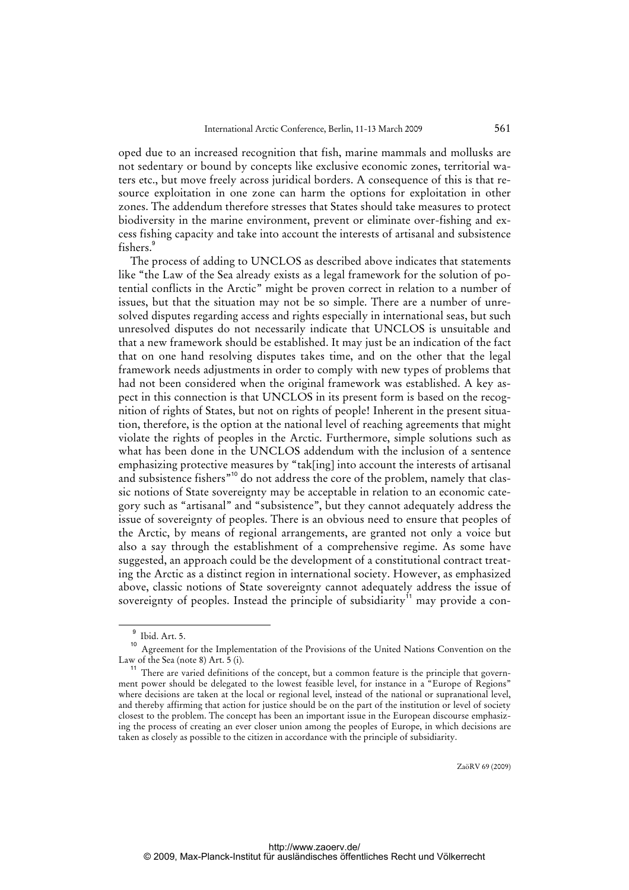oped due to an increased recognition that fish, marine mammals and mollusks are not sedentary or bound by concepts like exclusive economic zones, territorial waters etc., but move freely across juridical borders. A consequence of this is that resource exploitation in one zone can harm the options for exploitation in other zones. The addendum therefore stresses that States should take measures to protect biodiversity in the marine environment, prevent or eliminate over-fishing and excess fishing capacity and take into account the interests of artisanal and subsistence fishers.<sup>9</sup>

The process of adding to UNCLOS as described above indicates that statements like "the Law of the Sea already exists as a legal framework for the solution of potential conflicts in the Arctic" might be proven correct in relation to a number of issues, but that the situation may not be so simple. There are a number of unresolved disputes regarding access and rights especially in international seas, but such unresolved disputes do not necessarily indicate that UNCLOS is unsuitable and that a new framework should be established. It may just be an indication of the fact that on one hand resolving disputes takes time, and on the other that the legal framework needs adjustments in order to comply with new types of problems that had not been considered when the original framework was established. A key aspect in this connection is that UNCLOS in its present form is based on the recognition of rights of States, but not on rights of people! Inherent in the present situation, therefore, is the option at the national level of reaching agreements that might violate the rights of peoples in the Arctic. Furthermore, simple solutions such as what has been done in the UNCLOS addendum with the inclusion of a sentence emphasizing protective measures by "tak[ing] into account the interests of artisanal and subsistence fishers"<sup>10</sup> do not address the core of the problem, namely that classic notions of State sovereignty may be acceptable in relation to an economic category such as "artisanal" and "subsistence", but they cannot adequately address the issue of sovereignty of peoples. There is an obvious need to ensure that peoples of the Arctic, by means of regional arrangements, are granted not only a voice but also a say through the establishment of a comprehensive regime. As some have suggested, an approach could be the development of a constitutional contract treating the Arctic as a distinct region in international society. However, as emphasized above, classic notions of State sovereignty cannot adequately address the issue of sovereignty of peoples. Instead the principle of subsidiarity<sup>11</sup> may provide a con-

<sup>9</sup> Ibid. Art. 5.

<sup>&</sup>lt;sup>10</sup> Agreement for the Implementation of the Provisions of the United Nations Convention on the Law of the Sea (note 8) Art. 5 (i).

<sup>&</sup>lt;sup>11</sup> There are varied definitions of the concept, but a common feature is the principle that government power should be delegated to the lowest feasible level, for instance in a "Europe of Regions" where decisions are taken at the local or regional level, instead of the national or supranational level, and thereby affirming that action for justice should be on the part of the institution or level of society closest to the problem. The concept has been an important issue in the European discourse emphasizing the process of creating an ever closer union among the peoples of Europe, in which decisions are taken as closely as possible to the citizen in accordance with the principle of subsidiarity.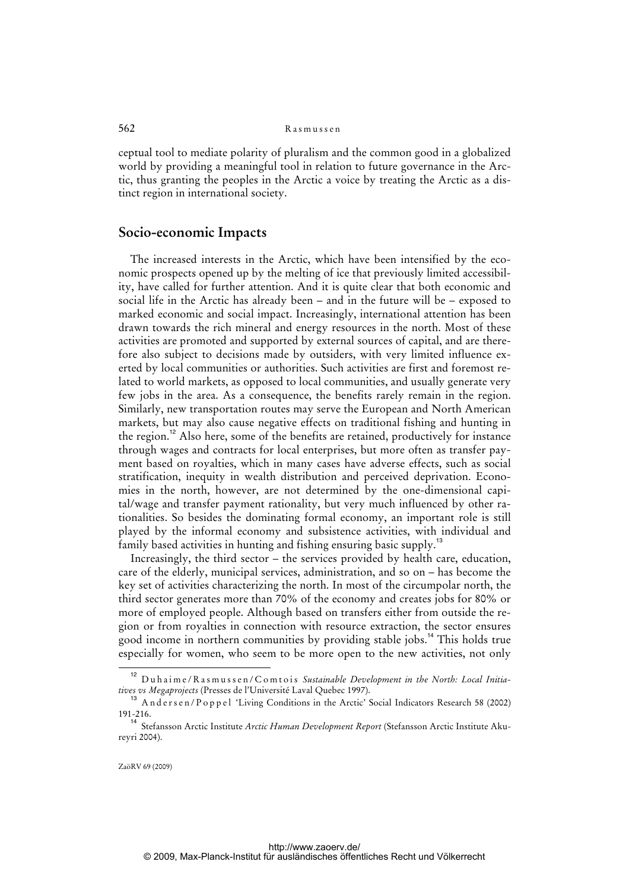ceptual tool to mediate polarity of pluralism and the common good in a globalized world by providing a meaningful tool in relation to future governance in the Arctic, thus granting the peoples in the Arctic a voice by treating the Arctic as a distinct region in international society.

## **Socio-economic Impacts**

The increased interests in the Arctic, which have been intensified by the economic prospects opened up by the melting of ice that previously limited accessibility, have called for further attention. And it is quite clear that both economic and social life in the Arctic has already been – and in the future will be – exposed to marked economic and social impact. Increasingly, international attention has been drawn towards the rich mineral and energy resources in the north. Most of these activities are promoted and supported by external sources of capital, and are therefore also subject to decisions made by outsiders, with very limited influence exerted by local communities or authorities. Such activities are first and foremost related to world markets, as opposed to local communities, and usually generate very few jobs in the area. As a consequence, the benefits rarely remain in the region. Similarly, new transportation routes may serve the European and North American markets, but may also cause negative effects on traditional fishing and hunting in the region.<sup>12</sup> Also here, some of the benefits are retained, productively for instance through wages and contracts for local enterprises, but more often as transfer payment based on royalties, which in many cases have adverse effects, such as social stratification, inequity in wealth distribution and perceived deprivation. Economies in the north, however, are not determined by the one-dimensional capital/wage and transfer payment rationality, but very much influenced by other rationalities. So besides the dominating formal economy, an important role is still played by the informal economy and subsistence activities, with individual and family based activities in hunting and fishing ensuring basic supply.<sup>13</sup>

Increasingly, the third sector – the services provided by health care, education, care of the elderly, municipal services, administration, and so on – has become the key set of activities characterizing the north. In most of the circumpolar north, the third sector generates more than 70% of the economy and creates jobs for 80% or more of employed people. Although based on transfers either from outside the region or from royalties in connection with resource extraction, the sector ensures good income in northern communities by providing stable jobs.<sup>14</sup> This holds true especially for women, who seem to be more open to the new activities, not only

<sup>12</sup> Duhaime/Rasmussen/Comtois *Sustainable Development in the North: Local Initiatives vs Megaprojects* (Presses de l'Université Laval Quebec 1997).

 $13$  Andersen/Poppel 'Living Conditions in the Arctic' Social Indicators Research 58 (2002) 191-216.

<sup>14</sup> Stefansson Arctic Institute *Arctic Human Development Report* (Stefansson Arctic Institute Akureyri 2004).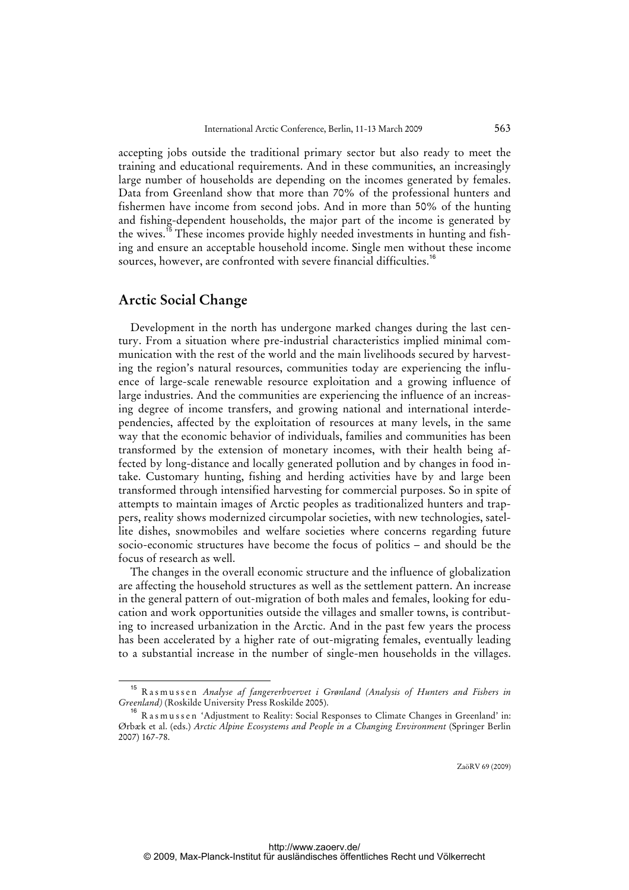accepting jobs outside the traditional primary sector but also ready to meet the training and educational requirements. And in these communities, an increasingly large number of households are depending on the incomes generated by females. Data from Greenland show that more than 70% of the professional hunters and fishermen have income from second jobs. And in more than 50% of the hunting and fishing-dependent households, the major part of the income is generated by the wives.<sup>15</sup> These incomes provide highly needed investments in hunting and fishing and ensure an acceptable household income. Single men without these income sources, however, are confronted with severe financial difficulties.<sup>16</sup>

## **Arctic Social Change**

Development in the north has undergone marked changes during the last century. From a situation where pre-industrial characteristics implied minimal communication with the rest of the world and the main livelihoods secured by harvesting the region's natural resources, communities today are experiencing the influence of large-scale renewable resource exploitation and a growing influence of large industries. And the communities are experiencing the influence of an increasing degree of income transfers, and growing national and international interdependencies, affected by the exploitation of resources at many levels, in the same way that the economic behavior of individuals, families and communities has been transformed by the extension of monetary incomes, with their health being affected by long-distance and locally generated pollution and by changes in food intake. Customary hunting, fishing and herding activities have by and large been transformed through intensified harvesting for commercial purposes. So in spite of attempts to maintain images of Arctic peoples as traditionalized hunters and trappers, reality shows modernized circumpolar societies, with new technologies, satellite dishes, snowmobiles and welfare societies where concerns regarding future socio-economic structures have become the focus of politics – and should be the focus of research as well.

The changes in the overall economic structure and the influence of globalization are affecting the household structures as well as the settlement pattern. An increase in the general pattern of out-migration of both males and females, looking for education and work opportunities outside the villages and smaller towns, is contributing to increased urbanization in the Arctic. And in the past few years the process has been accelerated by a higher rate of out-migrating females, eventually leading to a substantial increase in the number of single-men households in the villages.

<sup>15</sup> Rasmussen *Analyse af fangererhvervet i Grønland (Analysis of Hunters and Fishers in Greenland)* (Roskilde University Press Roskilde 2005).

<sup>&</sup>lt;sup>16</sup> R a s m u s s e n 'Adjustment to Reality: Social Responses to Climate Changes in Greenland' in: Ørbæk et al. (eds.) *Arctic Alpine Ecosystems and People in a Changing Environment* (Springer Berlin 2007) 167-78.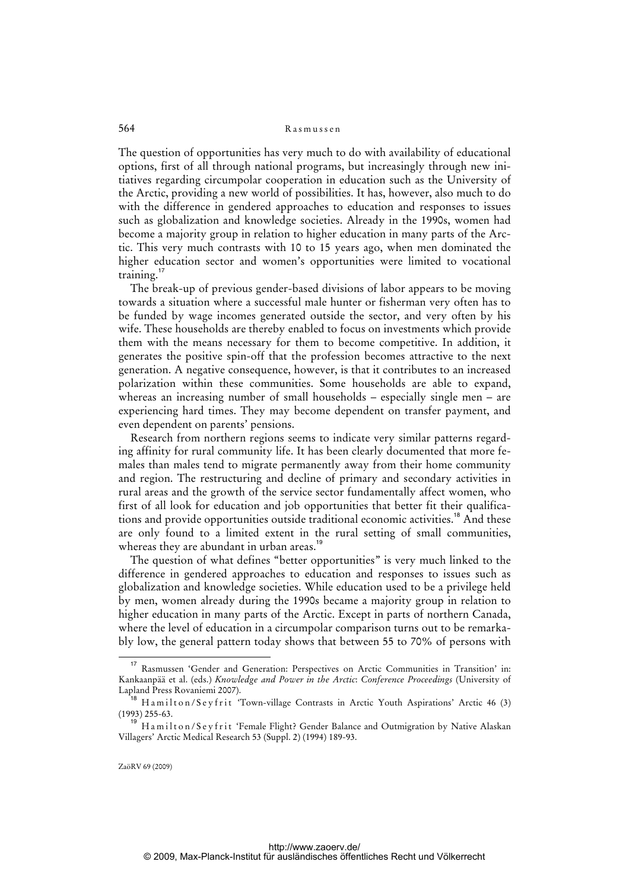The question of opportunities has very much to do with availability of educational options, first of all through national programs, but increasingly through new initiatives regarding circumpolar cooperation in education such as the University of the Arctic, providing a new world of possibilities. It has, however, also much to do with the difference in gendered approaches to education and responses to issues such as globalization and knowledge societies. Already in the 1990s, women had become a majority group in relation to higher education in many parts of the Arctic. This very much contrasts with 10 to 15 years ago, when men dominated the higher education sector and women's opportunities were limited to vocational training.<sup>17</sup>

The break-up of previous gender-based divisions of labor appears to be moving towards a situation where a successful male hunter or fisherman very often has to be funded by wage incomes generated outside the sector, and very often by his wife. These households are thereby enabled to focus on investments which provide them with the means necessary for them to become competitive. In addition, it generates the positive spin-off that the profession becomes attractive to the next generation. A negative consequence, however, is that it contributes to an increased polarization within these communities. Some households are able to expand, whereas an increasing number of small households – especially single men – are experiencing hard times. They may become dependent on transfer payment, and even dependent on parents' pensions.

Research from northern regions seems to indicate very similar patterns regarding affinity for rural community life. It has been clearly documented that more females than males tend to migrate permanently away from their home community and region. The restructuring and decline of primary and secondary activities in rural areas and the growth of the service sector fundamentally affect women, who first of all look for education and job opportunities that better fit their qualifications and provide opportunities outside traditional economic activities.<sup>18</sup> And these are only found to a limited extent in the rural setting of small communities, whereas they are abundant in urban areas.<sup>19</sup>

The question of what defines "better opportunities" is very much linked to the difference in gendered approaches to education and responses to issues such as globalization and knowledge societies. While education used to be a privilege held by men, women already during the 1990s became a majority group in relation to higher education in many parts of the Arctic. Except in parts of northern Canada, where the level of education in a circumpolar comparison turns out to be remarkably low, the general pattern today shows that between 55 to 70% of persons with

<sup>17</sup> Rasmussen 'Gender and Generation: Perspectives on Arctic Communities in Transition' in: Kankaanpää et al. (eds.) *Knowledge and Power in the Arctic*: *Conference Proceedings* (University of Lapland Press Rovaniemi 2007).

 $18$  H a m ilton/Sey frit 'Town-village Contrasts in Arctic Youth Aspirations' Arctic 46 (3) (1993) 255-63.

<sup>&</sup>lt;sup>19</sup> Hamilton/Seyfrit 'Female Flight? Gender Balance and Outmigration by Native Alaskan Villagers' Arctic Medical Research 53 (Suppl. 2) (1994) 189-93.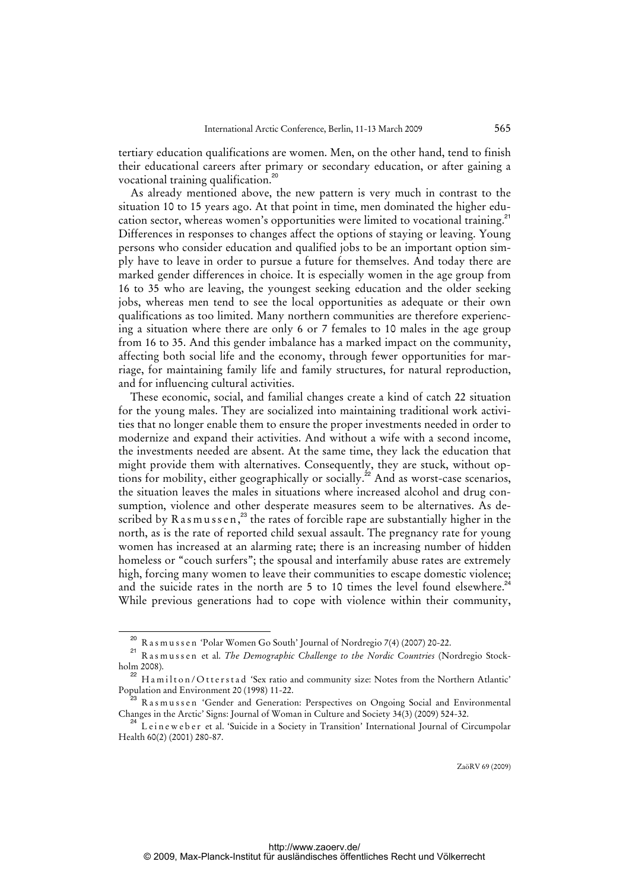tertiary education qualifications are women. Men, on the other hand, tend to finish their educational careers after primary or secondary education, or after gaining a vocational training qualification.<sup>20</sup>

As already mentioned above, the new pattern is very much in contrast to the situation 10 to 15 years ago. At that point in time, men dominated the higher education sector, whereas women's opportunities were limited to vocational training.<sup>21</sup> Differences in responses to changes affect the options of staying or leaving. Young persons who consider education and qualified jobs to be an important option simply have to leave in order to pursue a future for themselves. And today there are marked gender differences in choice. It is especially women in the age group from 16 to 35 who are leaving, the youngest seeking education and the older seeking jobs, whereas men tend to see the local opportunities as adequate or their own qualifications as too limited. Many northern communities are therefore experiencing a situation where there are only 6 or 7 females to 10 males in the age group from 16 to 35. And this gender imbalance has a marked impact on the community, affecting both social life and the economy, through fewer opportunities for marriage, for maintaining family life and family structures, for natural reproduction, and for influencing cultural activities.

These economic, social, and familial changes create a kind of catch 22 situation for the young males. They are socialized into maintaining traditional work activities that no longer enable them to ensure the proper investments needed in order to modernize and expand their activities. And without a wife with a second income, the investments needed are absent. At the same time, they lack the education that might provide them with alternatives. Consequently, they are stuck, without options for mobility, either geographically or socially.<sup>22</sup> And as worst-case scenarios, the situation leaves the males in situations where increased alcohol and drug consumption, violence and other desperate measures seem to be alternatives. As described by  $R$  as  $m$  us s e n,<sup>23</sup> the rates of forcible rape are substantially higher in the north, as is the rate of reported child sexual assault. The pregnancy rate for young women has increased at an alarming rate; there is an increasing number of hidden homeless or "couch surfers"; the spousal and interfamily abuse rates are extremely high, forcing many women to leave their communities to escape domestic violence; and the suicide rates in the north are 5 to 10 times the level found elsewhere.<sup>2</sup> While previous generations had to cope with violence within their community,

<sup>20</sup> R a s m u s s e n 'Polar Women Go South' Journal of Nordregio 7(4) (2007) 20-22.

<sup>&</sup>lt;sup>21</sup> Rasmussen et al. *The Demographic Challenge to the Nordic Countries* (Nordregio Stockholm 2008).

 $^{22}$  H a m i l t o n / O t t e r s t a d 'Sex ratio and community size: Notes from the Northern Atlantic' Population and Environment 20 (1998) 11-22.

 $3\,$  R a s m u s s e n 'Gender and Generation: Perspectives on Ongoing Social and Environmental Changes in the Arctic' Signs: Journal of Woman in Culture and Society 34(3) (2009) 524-32.

 $34$  L eineweber et al. 'Suicide in a Society in Transition' International Journal of Circumpolar Health 60(2) (2001) 280-87.